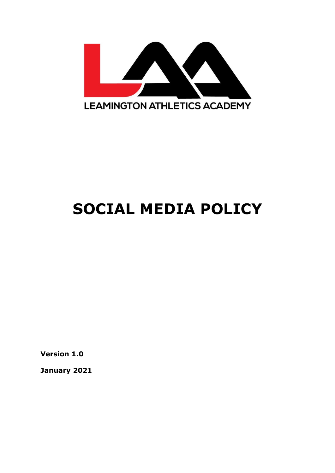

# **SOCIAL MEDIA POLICY**

**Version 1.0**

**January 2021**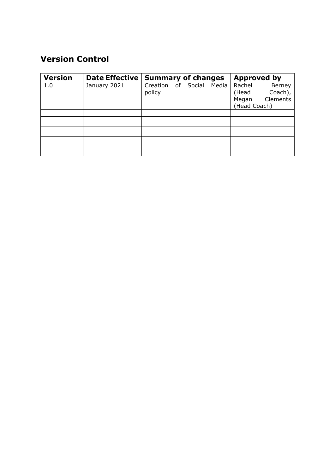### **Version Control**

| <b>Version</b> | <b>Date Effective</b> | <b>Summary of changes</b> |  |           |       | <b>Approved by</b> |          |
|----------------|-----------------------|---------------------------|--|-----------|-------|--------------------|----------|
| 1.0            | January 2021          | Creation                  |  | of Social | Media | Rachel             | Berney   |
|                |                       | policy                    |  |           |       | (Head              | Coach),  |
|                |                       |                           |  |           |       | Megan              | Clements |
|                |                       |                           |  |           |       | (Head Coach)       |          |
|                |                       |                           |  |           |       |                    |          |
|                |                       |                           |  |           |       |                    |          |
|                |                       |                           |  |           |       |                    |          |
|                |                       |                           |  |           |       |                    |          |
|                |                       |                           |  |           |       |                    |          |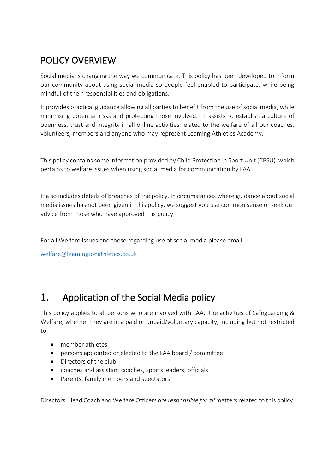# POLICY OVERVIEW

Social media is changing the way we communicate. This policy has been developed to inform our community about using social media so people feel enabled to participate, while being mindful of their responsibilities and obligations.

It provides practical guidance allowing all parties to benefit from the use of social media, while minimising potential risks and protecting those involved. It assists to establish a culture of openness, trust and integrity in all online activities related to the welfare of all our coaches, volunteers, members and anyone who may represent Leaming Athletics Academy.

This policy contains some information provided by Child Protection in Sport Unit (CPSU) which pertains to welfare issues when using social media for communication by LAA.

It also includes details of breaches of the policy. In circumstances where guidance about social media issues has not been given in this policy, we suggest you use common sense or seek out advice from those who have approved this policy.

For all Welfare issues and those regarding use of social media please email

[welfare@leamingtonathletics.co.uk](mailto:welfare@leamingtonathletics.co.uk)

## 1. Application of the Social Media policy

This policy applies to all persons who are involved with LAA, the activities of Safeguarding & Welfare, whether they are in a paid or unpaid/voluntary capacity, including but not restricted to:

- member athletes
- persons appointed or elected to the LAA board / committee
- Directors of the club
- coaches and assistant coaches, sports leaders, officials
- Parents, family members and spectators

Directors, Head Coach and Welfare Officers *are responsible for all* matters related to this policy.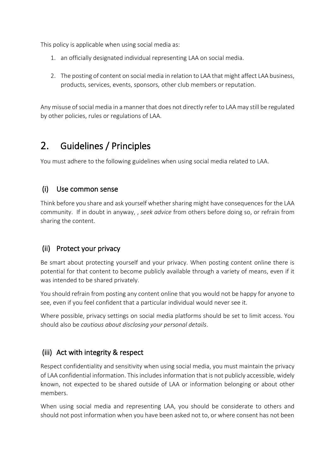This policy is applicable when using social media as:

- 1. an officially designated individual representing LAA on social media.
- 2. The posting of content on social media in relation to LAA that might affect LAA business, products, services, events, sponsors, other club members or reputation.

Any misuse of social media in a manner that does not directly refer to LAA may still be regulated by other policies, rules or regulations of LAA.

# 2. Guidelines / Principles

You must adhere to the following guidelines when using social media related to LAA.

#### (i) Use common sense

Think before you share and ask yourself whether sharing might have consequences for the LAA community. If in doubt in anyway, , *seek advice* from others before doing so, or refrain from sharing the content.

#### (ii) Protect your privacy

Be smart about protecting yourself and your privacy. When posting content online there is potential for that content to become publicly available through a variety of means, even if it was intended to be shared privately.

You should refrain from posting any content online that you would not be happy for anyone to see, even if you feel confident that a particular individual would never see it.

Where possible, privacy settings on social media platforms should be set to limit access. You should also be *cautious about disclosing your personal details*.

#### (iii) Act with integrity & respect

Respect confidentiality and sensitivity when using social media, you must maintain the privacy of LAA confidential information. This includes information that is not publicly accessible, widely known, not expected to be shared outside of LAA or information belonging or about other members.

When using social media and representing LAA, you should be considerate to others and should not post information when you have been asked not to, or where consent has not been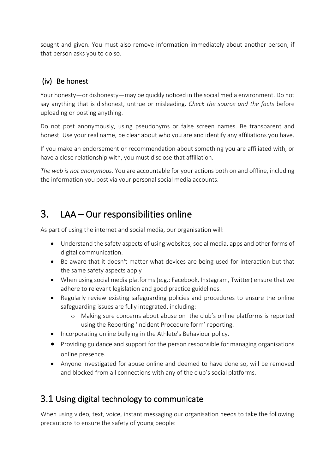sought and given. You must also remove information immediately about another person, if that person asks you to do so.

#### (iv) Be honest

Your honesty—or dishonesty—may be quickly noticed in the social media environment. Do not say anything that is dishonest, untrue or misleading. *Check the source and the facts* before uploading or posting anything.

Do not post anonymously, using pseudonyms or false screen names. Be transparent and honest. Use your real name, be clear about who you are and identify any affiliations you have.

If you make an endorsement or recommendation about something you are affiliated with, or have a close relationship with, you must disclose that affiliation.

*The web is not anonymous.* You are accountable for your actions both on and offline, including the information you post via your personal social media accounts.

# 3. LAA – Our responsibilities online

As part of using the internet and social media, our organisation will:

- Understand the safety aspects of using websites, social media, apps and other forms of digital communication.
- Be aware that it doesn't matter what devices are being used for interaction but that the same safety aspects apply
- When using social media platforms (e.g.: Facebook, Instagram, Twitter) ensure that we adhere to relevant legislation and good practice guidelines.
- Regularly review existing safeguarding policies and procedures to ensure the online safeguarding issues are fully integrated, including:
	- o Making sure concerns about abuse on the club's online platforms is reported using the Reporting 'Incident Procedure form' reporting.
- Incorporating online bullying in the Athlete's Behaviour policy.
- Providing guidance and support for the person responsible for managing organisations online presence.
- Anyone investigated for abuse online and deemed to have done so, will be removed and blocked from all connections with any of the club's social platforms.

## 3.1 Using digital technology to communicate

When using video, text, voice, instant messaging our organisation needs to take the following precautions to ensure the safety of young people: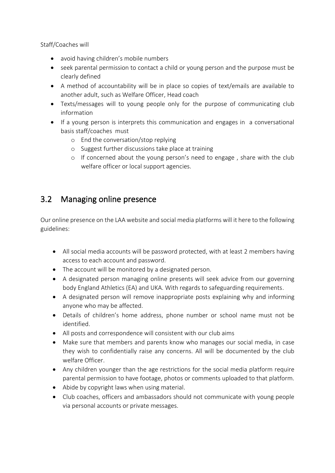Staff/Coaches will

- avoid having children's mobile numbers
- seek parental permission to contact a child or young person and the purpose must be clearly defined
- A method of accountability will be in place so copies of text/emails are available to another adult, such as Welfare Officer, Head coach
- Texts/messages will to young people only for the purpose of communicating club information
- If a young person is interprets this communication and engages in a conversational basis staff/coaches must
	- o End the conversation/stop replying
	- o Suggest further discussions take place at training
	- o If concerned about the young person's need to engage , share with the club welfare officer or local support agencies.

#### 3.2 Managing online presence

Our online presence on the LAA website and social media platforms will it here to the following guidelines:

- All social media accounts will be password protected, with at least 2 members having access to each account and password.
- The account will be monitored by a designated person.
- A designated person managing online presents will seek advice from our governing body England Athletics (EA) and UKA. With regards to safeguarding requirements.
- A designated person will remove inappropriate posts explaining why and informing anyone who may be affected.
- Details of children's home address, phone number or school name must not be identified.
- All posts and correspondence will consistent with our club aims
- Make sure that members and parents know who manages our social media, in case they wish to confidentially raise any concerns. All will be documented by the club welfare Officer.
- Any children younger than the age restrictions for the social media platform require parental permission to have footage, photos or comments uploaded to that platform.
- Abide by copyright laws when using material.
- Club coaches, officers and ambassadors should not communicate with young people via personal accounts or private messages.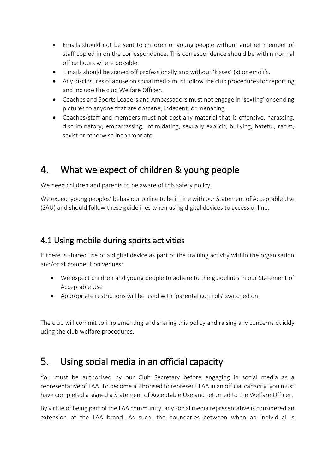- Emails should not be sent to children or young people without another member of staff copied in on the correspondence. This correspondence should be within normal office hours where possible.
- Emails should be signed off professionally and without 'kisses' (x) or emoji's.
- Any disclosures of abuse on social media must follow the club procedures for reporting and include the club Welfare Officer.
- Coaches and Sports Leaders and Ambassadors must not engage in 'sexting' or sending pictures to anyone that are obscene, indecent, or menacing.
- Coaches/staff and members must not post any material that is offensive, harassing, discriminatory, embarrassing, intimidating, sexually explicit, bullying, hateful, racist, sexist or otherwise inappropriate.

## 4. What we expect of children & young people

We need children and parents to be aware of this safety policy.

We expect young peoples' behaviour online to be in line with our Statement of Acceptable Use (SAU) and should follow these guidelines when using digital devices to access online.

## 4.1 Using mobile during sports activities

If there is shared use of a digital device as part of the training activity within the organisation and/or at competition venues:

- We expect children and young people to adhere to the guidelines in our Statement of Acceptable Use
- Appropriate restrictions will be used with 'parental controls' switched on.

The club will commit to implementing and sharing this policy and raising any concerns quickly using the club welfare procedures.

## 5. Using social media in an official capacity

You must be authorised by our Club Secretary before engaging in social media as a representative of LAA. To become authorised to represent LAA in an official capacity, you must have completed a signed a Statement of Acceptable Use and returned to the Welfare Officer.

By virtue of being part of the LAA community, any social media representative is considered an extension of the LAA brand. As such, the boundaries between when an individual is